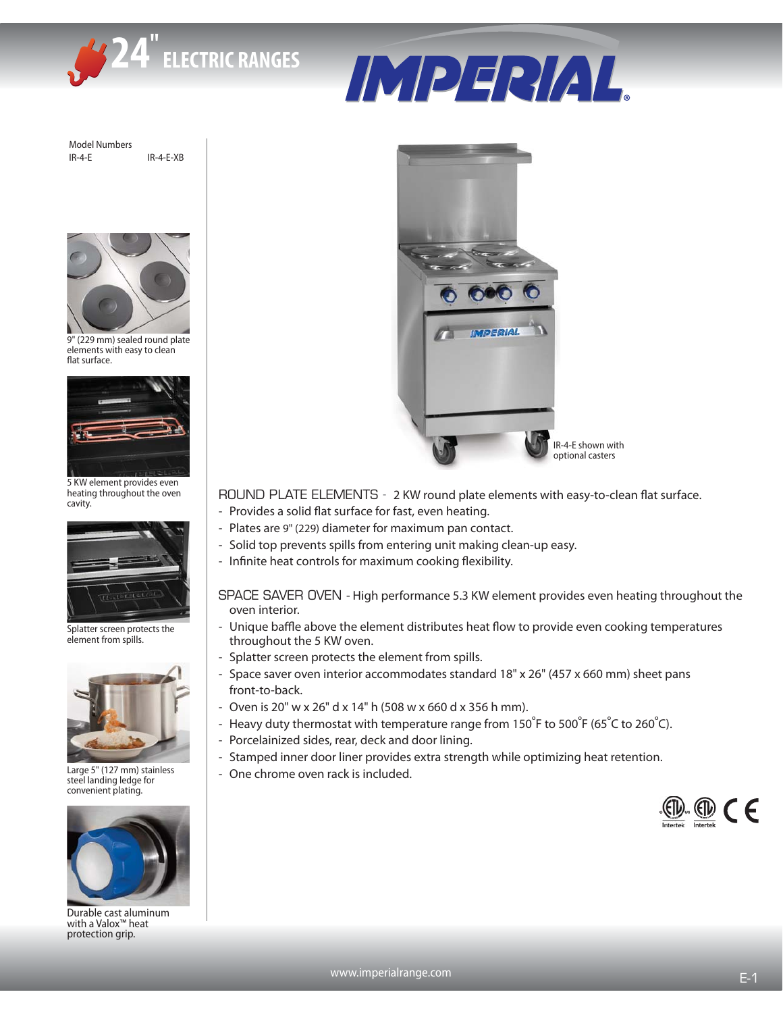

IMPERIAL.

Model Numbers IR-4-E IR-4-E-XB



9" (229 mm) sealed round plate elements with easy to clean flat surface.



5 KW element provides even heating throughout the oven cavity.



Splatter screen protects the element from spills.



Large 5" (127 mm) stainless steel landing ledge for convenient plating.



Durable cast aluminum with a Valox™ heat protection grip.



## ROUND PLATE ELEMENTS - 2 KW round plate elements with easy-to-clean flat surface.

- Provides a solid flat surface for fast, even heating.
- Plates are 9" (229) diameter for maximum pan contact.
- Solid top prevents spills from entering unit making clean-up easy.
- Infinite heat controls for maximum cooking flexibility.
- SPACE SAVER OVEN High performance 5.3 KW element provides even heating throughout the oven interior.
- Unique baffle above the element distributes heat flow to provide even cooking temperatures throughout the 5 KW oven.
- Splatter screen protects the element from spills.
- Space saver oven interior accommodates standard 18" x 26" (457 x 660 mm) sheet pans front-to-back.
- Oven is 20" w x 26" d x 14" h (508 w x 660 d x 356 h mm).
- Heavy duty thermostat with temperature range from 150°F to 500°F (65°C to 260°C).
- Porcelainized sides, rear, deck and door lining.
- Stamped inner door liner provides extra strength while optimizing heat retention.
- One chrome oven rack is included.